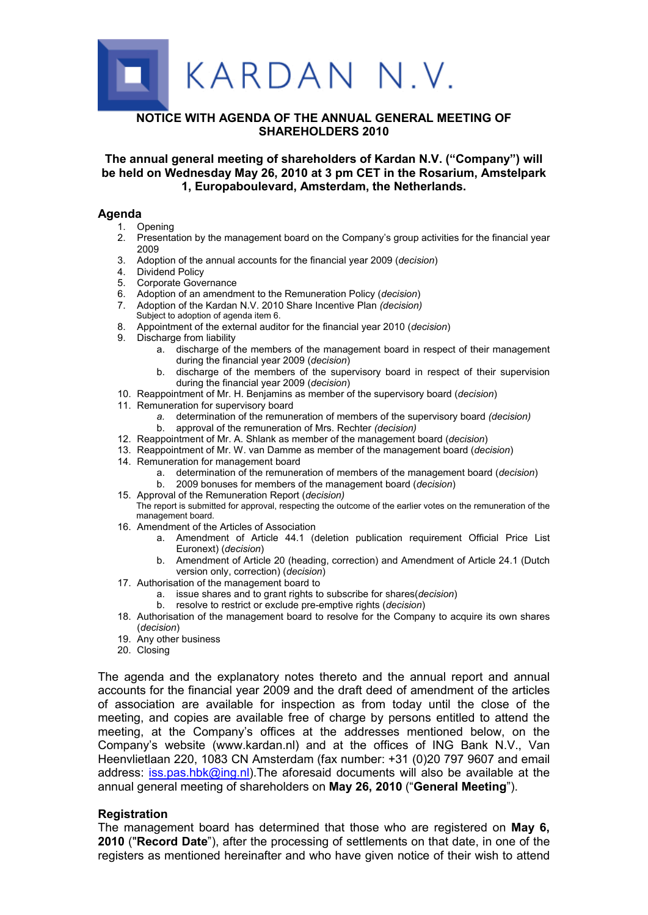

# **NOTICE WITH AGENDA OF THE ANNUAL GENERAL MEETING OF SHAREHOLDERS 2010**

**The annual general meeting of shareholders of Kardan N.V. ("Company") will be held on Wednesday May 26, 2010 at 3 pm CET in the Rosarium, Amstelpark 1, Europaboulevard, Amsterdam, the Netherlands.**

### **Agenda**

- 1. Opening
- 2. Presentation by the management board on the Company's group activities for the financial year 2009
- 3. Adoption of the annual accounts for the financial year 2009 (*decision*)
- 4. Dividend Policy
- 5. Corporate Governance
- 6. Adoption of an amendment to the Remuneration Policy (*decision*)
- 7. Adoption of the Kardan N.V. 2010 Share Incentive Plan *(decision)* Subject to adoption of agenda item 6.
- 8. Appointment of the external auditor for the financial year 2010 (*decision*)
- 9. Discharge from liability
	- a. discharge of the members of the management board in respect of their management during the financial year 2009 (*decision*)
	- b. discharge of the members of the supervisory board in respect of their supervision during the financial year 2009 (*decision*)
- 10. Reappointment of Mr. H. Benjamins as member of the supervisory board (*decision*)
- 11. Remuneration for supervisory board
	- *a.* determination of the remuneration of members of the supervisory board *(decision)*
	- b. approval of the remuneration of Mrs. Rechter *(decision)*
- 12. Reappointment of Mr. A. Shlank as member of the management board (*decision*)
- 13. Reappointment of Mr. W. van Damme as member of the management board (*decision*)
- 14. Remuneration for management board
	- a. determination of the remuneration of members of the management board (*decision*)
	- b. 2009 bonuses for members of the management board (*decision*)
- 15. Approval of the Remuneration Report (*decision)*
- The report is submitted for approval, respecting the outcome of the earlier votes on the remuneration of the management board.
- 16. Amendment of the Articles of Association
	- a. Amendment of Article 44.1 (deletion publication requirement Official Price List Euronext) (*decision*)
	- b. Amendment of Article 20 (heading, correction) and Amendment of Article 24.1 (Dutch version only, correction) (*decision*)
- 17. Authorisation of the management board to
	- a. issue shares and to grant rights to subscribe for shares(*decision*)
	- b. resolve to restrict or exclude pre-emptive rights (*decision*)
- 18. Authorisation of the management board to resolve for the Company to acquire its own shares (*decision*)
- 19. Any other business
- 20. Closing

The agenda and the explanatory notes thereto and the annual report and annual accounts for the financial year 2009 and the draft deed of amendment of the articles of association are available for inspection as from today until the close of the meeting, and copies are available free of charge by persons entitled to attend the meeting, at the Company's offices at the addresses mentioned below, on the Company's website (w[ww.kardan.nl](www.kardan.nl)) and at the offices of ING Bank N.V., Van Heenvlietlaan 220, 1083 CN Amsterdam (fax number: +31 (0)20 797 9607 and email address: [iss.pas.hbk@ing.nl](mailto:iss.pas.hbk@ing.nl)).The aforesaid documents will also be available at the annual general meeting of shareholders on **May 26, 2010** ("**General Meeting**").

### **Registration**

The management board has determined that those who are registered on **May 6, 2010** ("**Record Date**"), after the processing of settlements on that date, in one of the registers as mentioned hereinafter and who have given notice of their wish to attend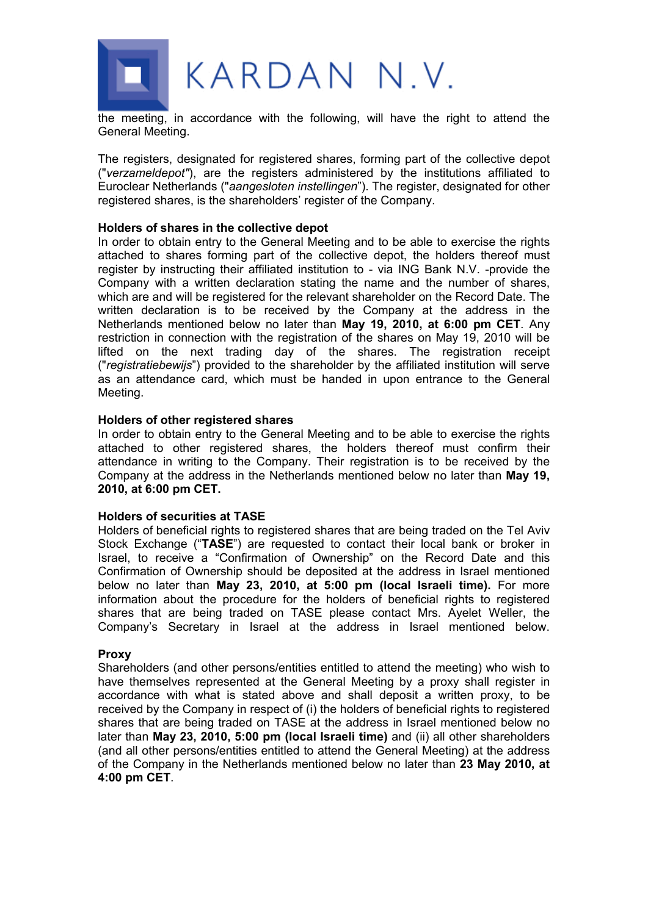

the meeting, in accordance with the following, will have the right to attend the General Meeting.

The registers, designated for registered shares, forming part of the collective depot ("*verzameldepot"*), are the registers administered by the institutions affiliated to Euroclear Netherlands ("*aangesloten instellingen*"). The register, designated for other registered shares, is the shareholders' register of the Company.

### **Holders of shares in the collective depot**

In order to obtain entry to the General Meeting and to be able to exercise the rights attached to shares forming part of the collective depot, the holders thereof must register by instructing their affiliated institution to - via ING Bank N.V. -provide the Company with a written declaration stating the name and the number of shares, which are and will be registered for the relevant shareholder on the Record Date. The written declaration is to be received by the Company at the address in the Netherlands mentioned below no later than **May 19, 2010, at 6:00 pm CET**. Any restriction in connection with the registration of the shares on May 19, 2010 will be lifted on the next trading day of the shares. The registration receipt ("*registratiebewijs*") provided to the shareholder by the affiliated institution will serve as an attendance card, which must be handed in upon entrance to the General Meeting.

### **Holders of other registered shares**

In order to obtain entry to the General Meeting and to be able to exercise the rights attached to other registered shares, the holders thereof must confirm their attendance in writing to the Company. Their registration is to be received by the Company at the address in the Netherlands mentioned below no later than **May 19, 2010, at 6:00 pm CET.**

### **Holders of securities at TASE**

Holders of beneficial rights to registered shares that are being traded on the Tel Aviv Stock Exchange ("**TASE**") are requested to contact their local bank or broker in Israel, to receive a "Confirmation of Ownership" on the Record Date and this Confirmation of Ownership should be deposited at the address in Israel mentioned below no later than **May 23, 2010, at 5:00 pm (local Israeli time).** For more information about the procedure for the holders of beneficial rights to registered shares that are being traded on TASE please contact Mrs. Ayelet Weller, the Company's Secretary in Israel at the address in Israel mentioned below.

#### **Proxy**

Shareholders (and other persons/entities entitled to attend the meeting) who wish to have themselves represented at the General Meeting by a proxy shall register in accordance with what is stated above and shall deposit a written proxy, to be received by the Company in respect of (i) the holders of beneficial rights to registered shares that are being traded on TASE at the address in Israel mentioned below no later than **May 23, 2010, 5:00 pm (local Israeli time)** and (ii) all other shareholders (and all other persons/entities entitled to attend the General Meeting) at the address of the Company in the Netherlands mentioned below no later than **23 May 2010, at 4:00 pm CET**.